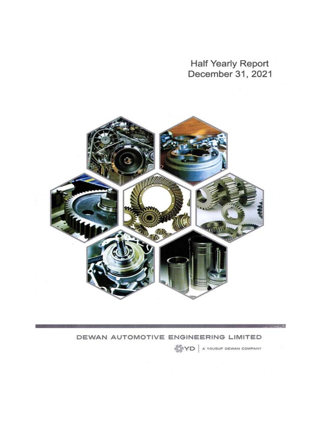Half Yearly Report December 31, 2021



## DEWAN AUTOMOTIVE ENGINEERING LIMITED

**WYD** A YOUSUF DEWAN COMPANY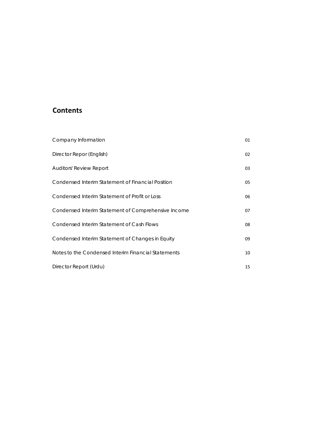# **Contents**

| Company Information                                 | 01 |
|-----------------------------------------------------|----|
| Director Repor (English)                            | 02 |
| Auditors' Review Report                             | 03 |
| Condensed Interim Statement of Financial Position   | 05 |
| Condensed Interim Statement of Profit or Loss       | 06 |
| Condensed Interim Statement of Comprehensive Income | 07 |
| Condensed Interim Statement of Cash Flows           | 08 |
| Condensed Interim Statement of Changes in Equity    | 09 |
| Notes to the Condensed Interim Financial Statements | 10 |
| Director Report (Urdu)                              | 15 |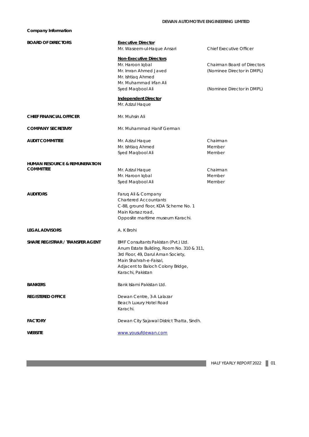## **Company Information**

| <b>BOARD OF DIRECTORS</b>                | <b>Executive Director</b><br>Mr. Waseem-ul-Haque Ansari                                                                                                                                                     | <b>Chief Executive Officer</b>                                                                 |
|------------------------------------------|-------------------------------------------------------------------------------------------------------------------------------------------------------------------------------------------------------------|------------------------------------------------------------------------------------------------|
|                                          | <b>Non-Executive Directors</b><br>Mr. Haroon Iqbal<br>Mr. Imran Ahmed Javed<br>Mr. Ishtiag Ahmed<br>Mr. Muhammad Irfan Ali<br>Syed Magbool Ali                                                              | <b>Chairman Board of Directors</b><br>(Nominee Director in DMPL)<br>(Nominee Director in DMPL) |
|                                          | <b>Independent Director</b><br>Mr. Azizul Haque                                                                                                                                                             |                                                                                                |
| <b>CHIEF FINANCIAL OFFICER</b>           | Mr. Muhsin Ali                                                                                                                                                                                              |                                                                                                |
| <b>COMPANY SECRETARY</b>                 | Mr. Muhammad Hanif German                                                                                                                                                                                   |                                                                                                |
| <b>AUDIT COMMITTEE</b>                   | Mr. Azizul Haque<br>Mr. Ishtiaq Ahmed<br>Syed Maqbool Ali                                                                                                                                                   | Chairman<br>Member<br>Member                                                                   |
| <b>HUMAN RESOURCE &amp; REMUNERATION</b> |                                                                                                                                                                                                             |                                                                                                |
| <b>COMMITTEE</b>                         | Mr. Azizul Haque<br>Mr. Haroon Iqbal<br>Syed Maqbool Ali                                                                                                                                                    | Chairman<br>Member<br>Member                                                                   |
| <b>AUDITORS</b>                          | Faruq Ali & Company<br><b>Chartered Accountants</b><br>C-88, ground floor, KDA Scheme No. 1<br>Main Karsaz road,<br>Opposite maritime museum Karachi.                                                       |                                                                                                |
| <b>LEGAL ADVISORS</b>                    | A. K Brohi                                                                                                                                                                                                  |                                                                                                |
| <b>SHARE REGISTRAR / TRANSFER AGENT</b>  | BMF Consultants Pakistan (Pvt.) Ltd.<br>Anum Estate Building, Room No. 310 & 311,<br>3rd Floor, 49, Darul Aman Society,<br>Main Shahrah-e-Faisal,<br>Adjacent to Baloch Colony Bridge,<br>Karachi, Pakistan |                                                                                                |
| <b>BANKERS</b>                           | Bank Islami Pakistan Ltd.                                                                                                                                                                                   |                                                                                                |
| <b>REGISTERED OFFICE</b>                 | Dewan Centre, 3-A Lalazar<br>Beach Luxury Hotel Road<br>Karachi.                                                                                                                                            |                                                                                                |
| <b>FACTORY</b>                           | Dewan City Sajawal District Thatta, Sindh.                                                                                                                                                                  |                                                                                                |
| <b>WEBSITE</b>                           | www.yousufdewan.com                                                                                                                                                                                         |                                                                                                |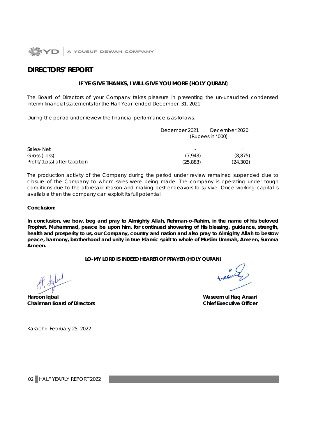

## **DIRECTORS' REPORT**

## **IF YE GIVE THANKS, I WILL GIVE YOU MORE (HOLY QURAN)**

The Board of Directors of your Company takes pleasure in presenting the un-unaudited condensed interim financial statements for the Half Year ended December 31, 2021.

During the period under review the financial performance is as follows.

|                              | December 2021            | December 2020    |
|------------------------------|--------------------------|------------------|
|                              |                          | (Rupees in '000) |
| Sales-Net                    | $\overline{\phantom{0}}$ |                  |
| Gross (Loss)                 | (7.943)                  | (8, 875)         |
| Profit/(Loss) after taxation | (25,883)                 | (24,302)         |

The production activity of the Company during the period under review remained suspended due to closure of the Company to whom sales were being made. The company is operating under tough conditions due to the aforesaid reason and making best endeavors to survive. Once working capital is available then the company can exploit its full potential.

## **Conclusion:**

**In conclusion, we bow, beg and pray to Almighty Allah, Rehman-o-Rahim, in the name of his beloved Prophet, Muhammad, peace be upon him, for continued showering of His blessing, guidance, strength, health and prosperity to us, our Company, country and nation and also pray to Almighty Allah to bestow peace, harmony, brotherhood and unity in true Islamic spirit to whole of Muslim Ummah, Ameen, Summa Ameen.**

**LO-MY LORD IS INDEED HEARER OF PRAYER (HOLY QURAN)**

**Haroon Iqbal Waseem ul Haq Ansari Chairman Board of Directors Chairman Board of Directors Chief Executive Officer** 

Karachi: February 25, 2022

02 HALF YEARLY REPORT 2022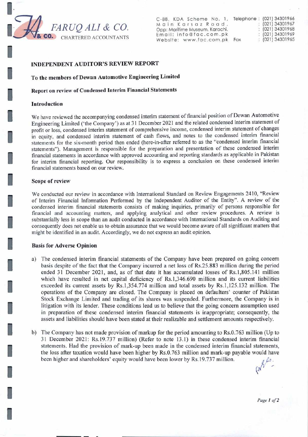

C-88, KDA Scheme No. 1, Teleph Main Karsaz Road, Opp: Maritime Museum, Karachi. Email: info@fac.com.pk<br>Website: www.fac.com.pk Fax Website: www.fac.com.pk

| one: |    | (021) 34301966 |
|------|----|----------------|
|      |    | (021) 34301967 |
|      |    | (021) 34301968 |
|      | ×. | (021) 34301969 |
|      |    | (021) 34301965 |

## INDEPENDENT AUDITOR'S **REVIEW REPORT**

To the members of Dewan Automotive Engineering Limited

Report on review of Condensed Interim Financial Statements

#### **Introduction**

We have reviewed the accompanying condensed interim statement of financial position of Dewan Automotive Engineering Limited ('the Company') as at 31 December 2021 and the related condensed interim statement of profit or loss, condensed interim statement of comprehensive income, condensed interim statement of changes in equity, and condensed interim statement of cash flows, and notes to the condensed interim financial statements for the six-month period then ended (here-in-after referred to as the "condensed interim financial statements"). Management is responsible for the preparation and presentation of these condensed interim financial statements in accordance with approved accounting and reporting standards as applicable in Pakistan for interim financial reporting. Our responsibility is to express a conclusion on these condensed interim financial statements based on our review.

#### Scope of **review**

We conducted our review in accordance with International Standard on Review Engagements 2410, "Review of Interim Financial Information Performed by the Independent Auditor of the Entity". A review of the condensed interim financial statements consists of making inquiries, primarily of persons responsible for financial and accounting matters, and applying analytical and other review procedures. A review is substantially less in scope than an audit conducted in accordance with International Standards on Auditing and consequently does not enable us to obtain assurance that we would become aware of all significant matters that might be identified in an audit. Accordingly, we do not express an audit opinion.

#### **Basis for Adverse Opinion**

- a) The condensed interim financial statements of the Company have been prepared on going concern basis despite of the fact that the Company incurred a net loss of Rs.25.883 million during the period ended 31 December 2021, and, as of that date it has accumulated losses of Rs.1,805.141 million which have resulted in net capital deficiency of Rs.1,346.690 million and its current liabilities exceeded its current assets by *Rs.1,354.774* million and total assets by Rs.l,125.132 million. The operations of the Company are closed. The Company is placed on defaulters' counter of Pakistan Stock Exchange Limited and trading of its shares was suspended. Furthermore, the Company is in litigation with its lender. These conditions lead us to believe that the going concern assumption used in preparation of these condensed interim financial statements is inappropriate; consequently, the assets and liabilities should have been stated at their realizable and settlement amounts respectively.
- b) The Company has not made provision of markup for the period amounting to Rs.0.763 million (Up to 31 December 2021: Rs. 19.737 million) (Refer to note 13.1) in these condensed interim fmancial statements. Had the provision of mark-up been made in the condensed interim financial statements, the loss after taxation would have been higher by Rs.0.763 million and mark-up payable would have been higher and shareholders' equity would have been lower by Rs.19.737 million.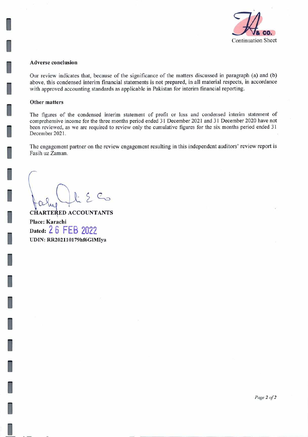

### **Adverse conclusion**

Our review indicates that, because of the significance of the matters discussed in paragraph (a) and (b) above, this condensed interim financial statements is not prepared, in all material respects, in accordance with approved accounting standards as applicable in Pakistan for interim financial reporting.

## **Other matters**

The figures of the condensed interim statement of profit or loss and condensed interim statement of comprehensive income for the three months period ended 31 December 2021 and 31 December 2020 have not been reviewed, as we are required to review only the cumulative figures for the six months period ended 31 December 2021.

The engagement partner on the review engagement resulting in this independent auditors' review report is Fasih uz Zaman.

 $C_{\odot}$ 

**CHARTERED ACCOUNTANTS Place: Karachi Dated:** 26 FEB 2022 **UDIN: RR2O211O179hf6ClMIya**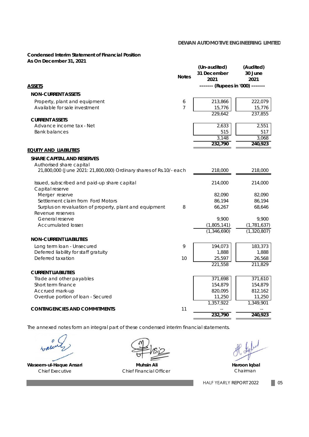## **Condensed Interim Statement of Financial Position As On December 31, 2021**

|                                                                    | <b>Notes</b>   | (Un-audited)<br>31 December<br>2021 | (Audited)<br>30 June<br>2021 |
|--------------------------------------------------------------------|----------------|-------------------------------------|------------------------------|
| ASSETS                                                             |                | ------- (Rupees in '000) -------    |                              |
| <b>NON-CURRENT ASSETS</b>                                          |                |                                     |                              |
| Property, plant and equipment                                      | 6              | 213,866                             | 222,079                      |
| Available for sale investment                                      | $\overline{7}$ | 15,776                              | 15,776                       |
|                                                                    |                | 229,642                             | 237,855                      |
| <b>CURRENT ASSETS</b>                                              |                |                                     |                              |
| Advance income tax - Net                                           |                | 2,633                               | 2,551                        |
| <b>Bank balances</b>                                               |                | 515<br>3,148                        | 517<br>3,068                 |
|                                                                    |                | 232,790                             | 240,923                      |
| <u>Equity and Liabilities</u>                                      |                |                                     |                              |
| <b>SHARE CAPITAL AND RESERVES</b>                                  |                |                                     |                              |
| Authorised share capital                                           |                |                                     |                              |
| 21,800,000 (June 2021: 21,800,000) Ordinary shares of Rs.10/- each |                | 218,000                             | 218,000                      |
|                                                                    |                |                                     |                              |
| Issued, subscribed and paid-up share capital<br>Capital reserve    |                | 214,000                             | 214,000                      |
| Merger reserve                                                     |                | 82,090                              | 82,090                       |
| Settlement claim from Ford Motors                                  |                | 86,194                              | 86,194                       |
| Surplus on revaluation of property, plant and equipment            | 8              | 66,267                              | 68,646                       |
| Revenue reserves                                                   |                |                                     |                              |
| General reserve                                                    |                | 9.900                               | 9.900                        |
| <b>Accumulated losses</b>                                          |                | (1,805,141)                         | (1, 781, 637)                |
|                                                                    |                | (1,346,690)                         | (1,320,807)                  |
| <b>NON-CURRENT LIABILITIES</b>                                     |                |                                     |                              |
| Long term loan - Unsecured                                         | 9              | 194,073                             | 183,373                      |
| Deferred liability for staff gratuity                              |                | 1,888                               | 1,888                        |
| Deferred taxation                                                  | 10             | 25,597                              | 26,568                       |
|                                                                    |                | 221,558                             | 211,829                      |
| <b>CURRENT LIABILITIES</b>                                         |                |                                     |                              |
| Trade and other payables                                           |                | 371,698                             | 371,610                      |
| Short term finance                                                 |                | 154,879                             | 154,879                      |
| Accrued mark-up                                                    |                | 820,095                             | 812,162                      |
| Overdue portion of loan - Secured                                  |                | 11,250<br>1,357,922                 | 11,250<br>1,349,901          |
| <b>CONTINGENCIES AND COMMITMENTS</b>                               | 11             |                                     |                              |
|                                                                    |                | 232,790                             | 240,923                      |
|                                                                    |                |                                     |                              |

*The annexed notes form an integral part of these condensed interim financial statements.*

e

Waseem-ul-Haque Ansari **Muhsin Ali** Muhsin Ali **Muhsin Ali** Haroon Iqbal

Chief Executive Chief Financial Officer

Chairman

05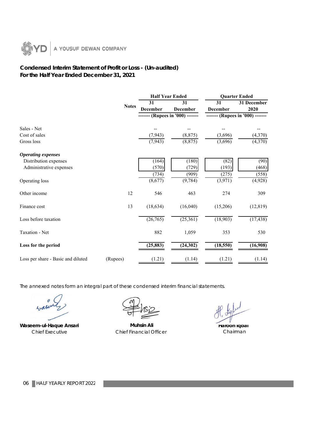

## **Condensed Interim Statement of Profit or Loss - (Un-audited) For the Half Year Ended December 31, 2021**

|                                    |              | <b>Half Year Ended</b> |                          |                       | <b>Quarter Ended</b>         |  |
|------------------------------------|--------------|------------------------|--------------------------|-----------------------|------------------------------|--|
|                                    | <b>Notes</b> | 31<br><b>December</b>  | 31<br><b>December</b>    | 31<br><b>December</b> | 31 December<br>2020          |  |
|                                    |              |                        | (Rupees in '000) ------- |                       | --- (Rupees in '000) ------- |  |
| Sales - Net                        |              |                        |                          |                       |                              |  |
| Cost of sales                      |              | (7, 943)               | (8, 875)                 | (3,696)               | (4,370)                      |  |
| Gross loss                         |              | (7, 943)               | (8, 875)                 | (3,696)               | (4,370)                      |  |
| <b>Operating expenses</b>          |              |                        |                          |                       |                              |  |
| Distribution expenses              |              | (164)                  | (180)                    | (82)                  | (90)                         |  |
| Administrative expenses            |              | (570)                  | (729)                    | (193)                 | (468)                        |  |
|                                    |              | (734)                  | (909)                    | (275)                 | (558)                        |  |
| Operating loss                     |              | (8,677)                | (9, 784)                 | (3,971)               | (4,928)                      |  |
| Other income                       | 12           | 546                    | 463                      | 274                   | 309                          |  |
| Finance cost                       | 13           | (18, 634)              | (16,040)                 | (15,206)              | (12, 819)                    |  |
| Loss before taxation               |              | (26,765)               | (25, 361)                | (18,903)              | (17, 438)                    |  |
| Taxation - Net                     |              | 882                    | 1,059                    | 353                   | 530                          |  |
| Loss for the period                |              | (25, 883)              | (24, 302)                | (18, 550)             | (16,908)                     |  |
| Loss per share - Basic and diluted | (Rupees)     | (1.21)                 | (1.14)                   | (1.21)                | (1.14)                       |  |

*The annexed notes form an integral part of these condensed interim financial statements.*

 $4rd$ 

Waseem-ul-Haque Ansari **Muhsin Ali** Muhsin Ali Chief Executive Chief Financial Officer

**Haroon Iqbal** Chairman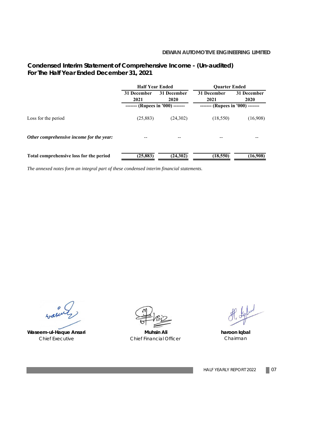## **Condensed Interim Statement of Comprehensive Income - (Un-audited) For The Half Year Ended December 31, 2021**

|                                          | <b>Half Year Ended</b>                                               |          | <b>Ouarter Ended</b> |             |  |
|------------------------------------------|----------------------------------------------------------------------|----------|----------------------|-------------|--|
|                                          | 31 December<br>31 December                                           |          | 31 December          | 31 December |  |
|                                          | 2021                                                                 | 2020     | 2021                 | <b>2020</b> |  |
|                                          | ------- (Rupees in '000) -------<br>------- (Rupees in '000) ------- |          |                      |             |  |
| Loss for the period                      | (25, 883)                                                            | (24,302) | (18, 550)            | (16,908)    |  |
| Other comprehensive income for the year: |                                                                      |          |                      |             |  |
| Total comprehensive loss for the period  | (25, 883)                                                            | (24,302) | (18, 550)            | (16,908)    |  |

*The annexed notes form an integral part of these condensed interim financial statements.*

 $e$  $4 - 84$ 

Waseem-ul-Haque Ansari **Muhsin Ali** Muhsin Ali

Chief Executive Chief Financial Officer

P. Septed

**haroon Iqbal** Chairman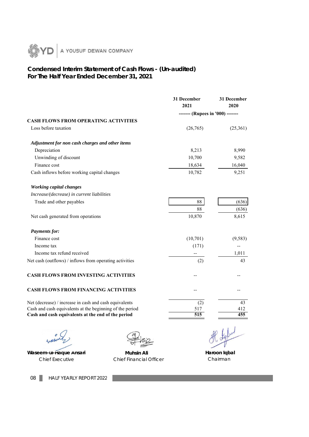

## **For The Half Year Ended December 31, 2021 Condensed Interim Statement of Cash Flows - (Un-audited)**

| 2021<br>(26,765)<br>8,213<br>10,700<br>18,634 | 2020<br>------- (Rupees in '000) -------<br>(25,361)<br>8,990 |
|-----------------------------------------------|---------------------------------------------------------------|
|                                               |                                                               |
|                                               |                                                               |
|                                               |                                                               |
|                                               |                                                               |
|                                               |                                                               |
|                                               |                                                               |
|                                               | 9,582                                                         |
|                                               | 16,040                                                        |
| 10,782                                        | 9,251                                                         |
|                                               |                                                               |
|                                               |                                                               |
| 88                                            | (636)                                                         |
| 88                                            | (636)                                                         |
| 10,870                                        | 8,615                                                         |
|                                               |                                                               |
| (10,701)                                      | (9, 583)                                                      |
| (171)                                         |                                                               |
|                                               | 1,011                                                         |
| (2)                                           | 43                                                            |
|                                               |                                                               |
|                                               |                                                               |
| (2)                                           | 43                                                            |
| 517                                           | 412                                                           |
|                                               | 455                                                           |
|                                               | 515                                                           |

 $4rdt$ 

Waseem-ul-Haque Ansari **Muhsin Ali Muhsin Ali Haroon Iqbal** Chief Executive Chief Financial Officer Chairman

08 **HALF YEARLY REPORT 2022**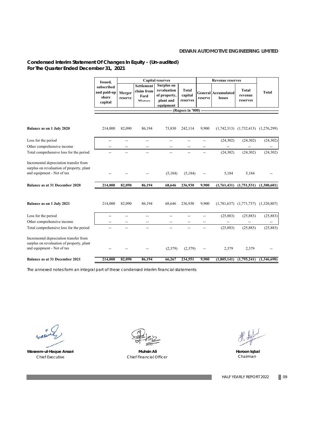## **Condensed Interim Statement Of Changes In Equity - (Un-audited) For The Quarter Ended December 31, 2021**

|                                                                                                                   | Issued,                                       |                   |                                                   | <b>Capital reserves</b>                                                    |                                     | <b>Revenue reserves</b> |                                      |                                           |                          |
|-------------------------------------------------------------------------------------------------------------------|-----------------------------------------------|-------------------|---------------------------------------------------|----------------------------------------------------------------------------|-------------------------------------|-------------------------|--------------------------------------|-------------------------------------------|--------------------------|
|                                                                                                                   | subscribed<br>and paid-up<br>share<br>capital | Merger<br>reserve | <b>Settlement</b><br>claim from<br>Ford<br>Motors | <b>Surplus on</b><br>revaluation<br>of property,<br>plant and<br>equipment | <b>Total</b><br>capital<br>reserves | reserve                 | <b>General Accumulated</b><br>losses | <b>Total</b><br>revenue<br>reserves       | <b>Total</b>             |
|                                                                                                                   |                                               |                   |                                                   |                                                                            | -- (Rupees in '000) ----            |                         |                                      |                                           |                          |
|                                                                                                                   |                                               |                   |                                                   |                                                                            |                                     |                         |                                      |                                           |                          |
| <b>Balance as on 1 July 2020</b>                                                                                  | 214,000                                       | 82,090            | 86,194                                            | 73,830                                                                     | 242,114                             | 9,900                   |                                      | $(1,742,313)$ $(1,732,413)$               | (1,276,299)              |
| Loss for the period                                                                                               | $-$                                           | --                | $\overline{\phantom{a}}$                          | --                                                                         | $\overline{\phantom{a}}$            | --                      | (24, 302)                            | (24, 302)                                 | (24, 302)                |
| Other comprehensive income                                                                                        |                                               |                   |                                                   |                                                                            |                                     |                         |                                      |                                           |                          |
| Total comprehensive loss for the period                                                                           | --                                            | --                | $\overline{\phantom{a}}$                          | --                                                                         | $\overline{\phantom{a}}$            | --                      | (24, 302)                            | (24, 302)                                 | (24, 302)                |
| Incremental depreciation transfer from<br>surplus on revaluation of property, plant<br>and equipment - Net of tax |                                               |                   |                                                   | (5, 184)                                                                   | (5,184)                             |                         | 5,184                                | 5,184                                     |                          |
| <b>Balance as at 31 December 2020</b>                                                                             | 214,000                                       | 82,090            | 86,194                                            | 68,646                                                                     | 236,930                             | 9,900                   |                                      | $(1,761,431)$ $(1,751,531)$ $(1,300,601)$ |                          |
| <b>Balance as on 1 July 2021</b>                                                                                  | 214,000                                       | 82,090            | 86,194                                            | 68,646                                                                     | 236,930                             | 9,900                   |                                      | $(1,781,637)$ $(1,771,737)$ $(1,320,807)$ |                          |
| Loss for the period                                                                                               | --                                            |                   | --                                                |                                                                            |                                     | --                      | (25, 883)                            | (25, 883)                                 | (25, 883)                |
| Other comprehensive income                                                                                        |                                               | $-$               |                                                   |                                                                            |                                     | $-$                     |                                      |                                           | $\overline{\phantom{a}}$ |
| Total comprehensive loss for the period                                                                           |                                               | --                | $\overline{\phantom{a}}$                          | --                                                                         | --                                  | --                      | (25, 883)                            | (25, 883)                                 | (25, 883)                |
| Incremental depreciation transfer from<br>surplus on revaluation of property, plant<br>and equipment - Net of tax |                                               |                   |                                                   | (2,379)                                                                    | (2,379)                             |                         | 2,379                                | 2,379                                     |                          |
| <b>Balance as at 31 December 2021</b>                                                                             | 214,000                                       | 82,090            | 86,194                                            | 66,267                                                                     | 234,551                             | 9,900                   |                                      | $(1,805,141)$ $(1,795,241)$               | (1,346,690)              |

*The annexed notes form an integral part of these condensed interim financial statements*

wale



**Waseem-ul-Haque Ansari Muhsin Ali Haroon Iqbal** Chief Executive Chief Financial Officer Chairman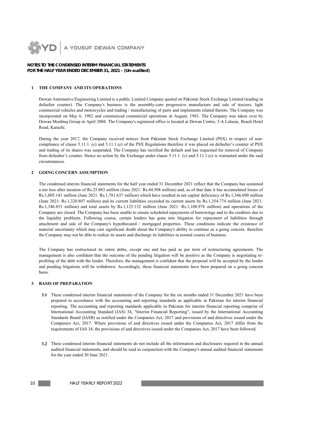

#### **NOTES TO THE CONDENSED INTERIM FINANCIAL STATEMENTS FOR THE HALF YEAR ENDED DECEMBER 31, 2021 - (Un-audited)**

#### **1 THE COMPANY AND ITS OPERATIONS**

Dewan Automotive Engineering Limited is a public Limited Company quoted on Pakistan Stock Exchange Limited (trading in defaulter counter). The Company's business is the assembly-cum progressive manufacture and sale of tractors, light commercial vehicles and motorcycles and trading / manufacturing of parts and implements related thereto. The Company was incorporated on May 6, 1982 and commenced commercial operations in August, 1983. The Company was taken over by Dewan Mushtaq Group in April 2004. The Company's registered office is located at Dewan Centre, 3-A Lalazar, Beach Hotel Road, Karachi.

During the year 2017, the Company received notices from Pakistan Stock Exchange Limited (PSX) in respect of noncompliance of clause 5.11.1. (c) and 5.11.1.(e) of the PSX Regulations therefore it was placed on defaulter's counter of PSX and trading of its shares was suspended. The Company has rectified the default and has requested for removal of Company from defaulter's counter. Hence no action by the Exchange under clause 5.11.1. (c) and 5.11.1. (e) is warranted under the said circumstances.

#### **2 GOING CONCERN ASSUMPTION**

The condensed interim financial statements for the half year ended 31 December 2021 reflect that the Company has sustained a net loss after taxation of Rs.25.883 million (June 2021: Rs.44.508 million) and, as of that date it has accumulated losses of Rs.1,805.141 million (June 2021: Rs.1,781.637 million) which have resulted in net capital deficiency of Rs.1,346.690 million (June 2021: Rs.1,320.807 million) and its current liabilities exceeded its current assets by Rs.1,354.774 million (June 2021: Rs.1,346.833 million) and total assets by Rs.1,125.132 million (June 2021: Rs.1,108.978 million) and operations of the Company are closed. The Company has been unable to ensure scheduled repayments of borrowings and to the creditors due to the liquidity problems. Following course, certain lenders has gone into litigation for repayment of liabilities through attachment and sale of the Company's hypothecated / mortgaged properties. These conditions indicate the existence of material uncertainty which may cast significant doubt about the Company's ability to continue as a going concern. therefore the Company may not be able to realize its assets and discharge its liabilities in normal course of business.

The Company has restructured its entire debts, except one and has paid as per term of restructuring agreements. The management is also confident that the outcome of the pending litigation will be positive as the Company is negotiating reprofiling of the debt with the lender. Therefore, the management is confident that the proposal will be accepted by the lender and pending litigations will be withdrawn. Accordingly, these financial statements have been prepared on a going concern basis.

#### **3 BASIS OF PREPARATION**

- **3.1** These condensed interim financial statements of the Company for the six months ended 31 December 2021 have been prepared in accordance with the accounting and reporting standards as applicable in Pakistan for interim financial reporting. The accounting and reporting standards applicable in Pakistan for interim financial reporting comprise of International Accounting Standard (IAS) 34, "Interim Financial Reporting", issued by the International Accounting Standards Board (IASB) as notified under the Companies Act, 2017 and provisions of and directives issued under the Companies Act, 2017. Where provisions of and directives issued under the Companies Act, 2017 differ from the requirements of IAS 34, the provisions of and directives issued under the Companies Act, 2017 have been followed.
- **3.2** These condensed interim financial statements do not include all the information and disclosures required in the annual audited financial statements, and should be read in conjunction with the Company's annual audited financial statements for the year ended 30 June 2021.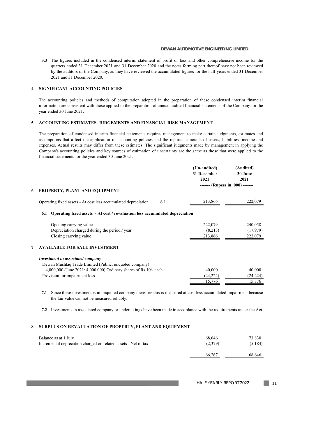**3.3** The figures included in the condensed interim statement of profit or loss and other comprehensive income for the quarters ended 31 December 2021 and 31 December 2020 and the notes forming part thereof have not been reviewed by the auditors of the Company, as they have reviewed the accumulated figures for the half years ended 31 December 2021 and 31 December 2020.

#### **4 SIGNIFICANT ACCOUNTING POLICIES**

The accounting policies and methods of computation adopted in the preparation of these condensed interim financial information are consistent with those applied in the preparation of annual audited financial statements of the Company for the year ended 30 June 2021.

#### **5 ACCOUNTING ESTIMATES, JUDGEMENTS AND FINANCIAL RISK MANAGEMENT**

The preparation of condensed interim financial statements requires management to make certain judgments, estimates and assumptions that affect the application of accounting policies and the reported amounts of assets, liabilities, income and expenses. Actual results may differ from these estimates. The significant judgments made by management in applying the Company's accounting policies and key sources of estimation of uncertainty are the same as those that were applied to the financial statements for the year ended 30 June 2021.

|                                                                |     | (Un-audited) | (Audited) |
|----------------------------------------------------------------|-----|--------------|-----------|
|                                                                |     | 31 December  | 30 June   |
|                                                                |     | 2021         | 2021      |
|                                                                |     |              |           |
| 6 PROPERTY, PLANT AND EQUIPMENT                                |     |              |           |
| Operating fixed assets - At cost less accumulated depreciation | 6.1 | 213,866      | 222,079   |

#### **6.1 Operating fixed assets - At cost / revaluation less accumulated depreciation**

| Opening carrying value                        | 222,079 | 240,058  |
|-----------------------------------------------|---------|----------|
| Depreciation charged during the period / year | (8,213) | (17.979) |
| Closing carrying value                        | 213,866 | 222,079  |

#### **7 AVAILABLE FOR SALE INVESTMENT**

| Investment in associated company                                      |          |           |
|-----------------------------------------------------------------------|----------|-----------|
| Dewan Mushtaq Trade Limited (Public, unquoted company)                |          |           |
| $4,000,000$ (June 2021: $4,000,000$ ) Ordinary shares of Rs.10/- each | 40,000   | 40,000    |
| Provision for impairment loss                                         | (24.224) | (24, 224) |
|                                                                       |          | - 776     |

**7.1** Since these investment is in unquoted company therefore this is measured at cost less accumulated impairment because the fair value can not be measured reliably.

**7.2** Investments in associated company or undertakings have been made in accordance with the requirements under the Act.

### **8 SURPLUS ON REVALUATION OF PROPERTY, PLANT AND EQUIPMENT**

| Balance as at 1 July                                           | 68.646  | 73,830   |
|----------------------------------------------------------------|---------|----------|
| Incremental deprecation charged on related assets - Net of tax | (2,379) | (5, 184) |
|                                                                | 66,267  | 68.646   |

HALF YEARLY REPORT 2022 11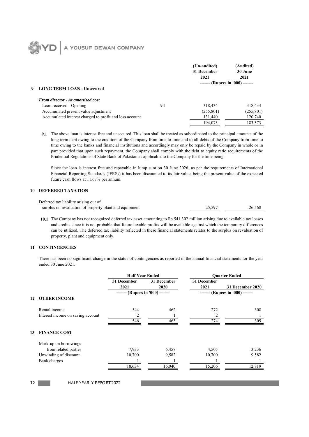## A YOUSUF DEWAN COMPANY **OYS**

|   |                                                         |     | (Un-audited)<br>31 December<br>2021 | (Audited)<br>30 June<br>2021     |
|---|---------------------------------------------------------|-----|-------------------------------------|----------------------------------|
| 9 | <b>LONG TERM LOAN - Unsecured</b>                       |     |                                     | ------- (Rupees in '000) ------- |
|   | <b>From director - At amortized cost</b>                |     |                                     |                                  |
|   | Loan received - Opening                                 | 9.1 | 318,434                             | 318,434                          |
|   | Accumulated present value adjustment                    |     | (255, 801)                          | (255, 801)                       |
|   | Accumulated interest charged to profit and loss account |     | 131,440                             | 120,740                          |
|   |                                                         |     | 194,073                             | 183,373                          |

**9.1** The above loan is interest free and unsecured. This loan shall be treated as subordinated to the principal amounts of the long term debt owing to the creditors of the Company from time to time and to all debts of the Company from time to time owing to the banks and financial institutions and accordingly may only be repaid by the Company in whole or in part provided that upon such repayment, the Company shall comply with the debt to equity ratio requirements of the Prudential Regulations of State Bank of Pakistan as applicable to the Company for the time being.

Since the loan is interest free and repayable in lump sum on 30 June 2026, as per the requirements of International Financial Reporting Standards (IFRSs) it has been discounted to its fair value, being the present value of the expected future cash flows at 11.67% per annum.

#### **10 DEFERRED TAXATION**

| Deferred tax liability arising out of                  |        |        |
|--------------------------------------------------------|--------|--------|
| surplus on revaluation of property plant and equipment | 25.597 | 26.568 |

**10.1** The Company has not recognized deferred tax asset amounting to Rs.541.302 million arising due to available tax losses and credits since it is not probable that future taxable profits will be available against which the temporary differences can be utilized. The deferred tax liability reflected in these financial statements relates to the surplus on revaluation of property, plant and equipment only.

#### **11 CONTINGENCIES**

12

There has been no significant change in the status of contingencies as reported in the annual financial statements for the year ended 30 June 2021.

|    |                                   | <b>Half Year Ended</b>           |                     | <b>Ouarter Ended</b> |                                  |
|----|-----------------------------------|----------------------------------|---------------------|----------------------|----------------------------------|
|    |                                   | 31 December<br>2021              | 31 December<br>2020 | 31 December<br>2021  | 31 December 2020                 |
|    |                                   | ------- (Rupees in '000) ------- |                     |                      | ------- (Rupees in '000) ------- |
| 12 | <b>OTHER INCOME</b>               |                                  |                     |                      |                                  |
|    | Rental income                     | 544                              | 462                 | 272                  | 308                              |
|    | Interest income on saving account | 2                                |                     |                      |                                  |
|    |                                   | 546                              | 463                 | 274                  | 309                              |
| 13 | <b>FINANCE COST</b>               |                                  |                     |                      |                                  |
|    | Mark-up on borrowings             |                                  |                     |                      |                                  |
|    | from related parties              | 7,933                            | 6,457               | 4,505                | 3,236                            |
|    | Unwinding of discount             | 10,700                           | 9,582               | 10,700               | 9,582                            |
|    | Bank charges                      |                                  |                     |                      |                                  |
|    |                                   | 18,634                           | 16,040              | 15,206               | 12,819                           |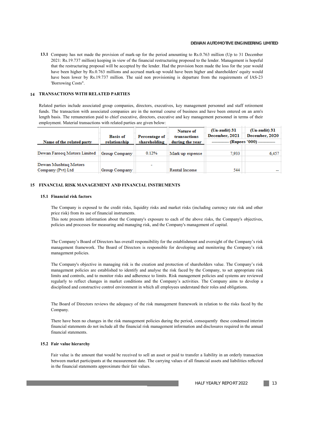**13.1** Company has not made the provision of mark-up for the period amounting to Rs.0.763 million (Up to 31 December 2021: Rs.19.737 million) keeping in view of the financial restructuring proposed to the lender. Management is hopeful that the restructuring proposal will be accepted by the lender. Had the provision been made the loss for the year would have been higher by Rs.0.763 millions and accrued mark-up would have been higher and shareholders' equity would have been lower by Rs.19.737 million. The said non provisioning is departure from the requirements of IAS-23 'Borrowing Costs".

#### **14 TRANSACTIONS WITH RELATED PARTIES**

Related parties include associated group companies, directors, executives, key management personnel and staff retirement funds. The transaction with associated companies are in the normal course of business and have been entered on an arm's length basis. The remuneration paid to chief executive, directors, executive and key management personnel in terms of their employment. Material transactions with related parties are given below:

|                                           | <b>Basis of</b> | Percentage of            | Nature of<br>transactions | (Un-audit) 31<br>December, 2021           | (Un-audit) 31<br>December, 2020 |
|-------------------------------------------|-----------------|--------------------------|---------------------------|-------------------------------------------|---------------------------------|
| Name of the related party                 | relationship    | shareholding             | during the year           | ------------- (Rupees '000) ------------- |                                 |
| Dewan Farooq Motors Limited               | Group Company   | 0.12%                    | Mark up expense           | 7.933                                     | 6,457                           |
| Dewan Mushtag Motors<br>Company (Pvt) Ltd | Group Company   | $\overline{\phantom{a}}$ | <b>Rental Income</b>      | 544                                       |                                 |

#### **15 FINANCIAL RISK MANAGEMENT AND FINANCIAL INSTRUMENTS**

#### **15.1 Financial risk factors**

The Company is exposed to the credit risks, liquidity risks and market risks (including currency rate risk and other price risk) from its use of financial instruments.

This note presents information about the Company's exposure to each of the above risks, the Company's objectives, policies and processes for measuring and managing risk, and the Company's management of capital.

The Company's Board of Directors has overall responsibility for the establishment and oversight of the Company's risk management framework. The Board of Directors is responsible for developing and monitoring the Company's risk management policies.

The Company's objective in managing risk is the creation and protection of shareholders value. The Company's risk management policies are established to identify and analyse the risk faced by the Company, to set appropriate risk limits and controls, and to monitor risks and adherence to limits. Risk management policies and systems are reviewed regularly to reflect changes in market conditions and the Company's activities. The Company aims to develop a disciplined and constructive control environment in which all employees understand their roles and obligations.

The Board of Directors reviews the adequacy of the risk management framework in relation to the risks faced by the Company.

There have been no changes in the risk management policies during the period, consequently these condensed interim financial statements do not include all the financial risk management information and disclosures required in the annual financial statements.

#### **15.2 Fair value hierarchy**

Fair value is the amount that would be received to sell an asset or paid to transfer a liability in an orderly transaction between market participants at the measurement date. The carrying values of all financial assets and liabilities reflected in the financial statements approximate their fair values.

 $\blacksquare$  13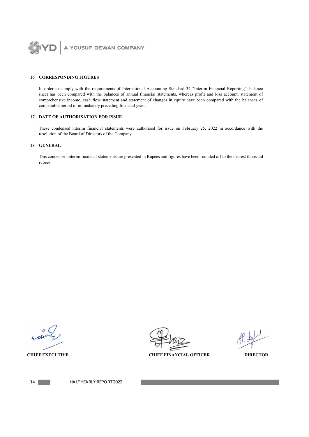

#### **16 CORRESPONDING FIGURES**

In order to comply with the requirements of International Accounting Standard 34 "Interim Financial Reporting", balance sheet has been compared with the balances of annual financial statements, whereas profit and loss account, statement of comprehensive income, cash flow statement and statement of changes in equity have been compared with the balances of comparable period of immediately preceding financial year.

### **17 DATE OF AUTHORISATION FOR ISSUE**

These condensed interim financial statements were authorised for issue on February 25, 2022 in accordance with the resolution of the Board of Directors of the Company.

## **18 GENERAL**

This condensed interim financial statements are presented in Rupees and figures have been rounded off to the nearest thousand rupees.

**CHIEF EXECUTIVE CHIEF FINANCIAL OFFICER DIRECTOR** 



14 HALF YEARLY REPORT 2022